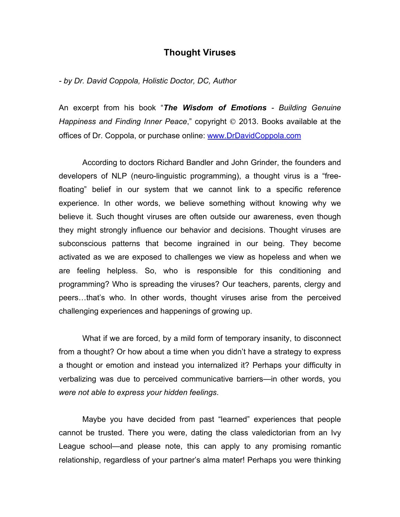# **Thought Viruses**

*- by Dr. David Coppola, Holistic Doctor, DC, Author*

An excerpt from his book "*The Wisdom of Emotions - Building Genuine Happiness and Finding Inner Peace*," copyright © 2013. Books available at the offices of Dr. Coppola, or purchase online: www.DrDavidCoppola.com

According to doctors Richard Bandler and John Grinder, the founders and developers of NLP (neuro-linguistic programming), a thought virus is a "freefloating" belief in our system that we cannot link to a specific reference experience. In other words, we believe something without knowing why we believe it. Such thought viruses are often outside our awareness, even though they might strongly influence our behavior and decisions. Thought viruses are subconscious patterns that become ingrained in our being. They become activated as we are exposed to challenges we view as hopeless and when we are feeling helpless. So, who is responsible for this conditioning and programming? Who is spreading the viruses? Our teachers, parents, clergy and peers…that's who. In other words, thought viruses arise from the perceived challenging experiences and happenings of growing up.

What if we are forced, by a mild form of temporary insanity, to disconnect from a thought? Or how about a time when you didn't have a strategy to express a thought or emotion and instead you internalized it? Perhaps your difficulty in verbalizing was due to perceived communicative barriers—in other words, you *were not able to express your hidden feelings*.

Maybe you have decided from past "learned" experiences that people cannot be trusted. There you were, dating the class valedictorian from an Ivy League school—and please note, this can apply to any promising romantic relationship, regardless of your partner's alma mater! Perhaps you were thinking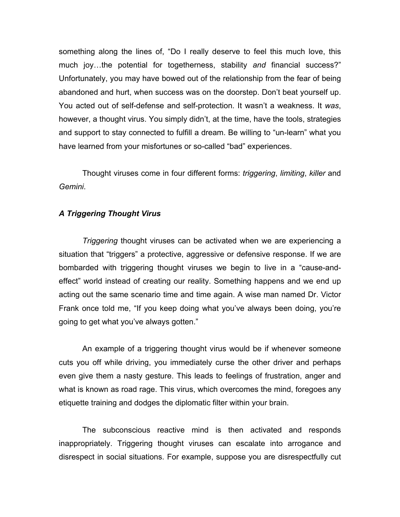something along the lines of, "Do I really deserve to feel this much love, this much joy…the potential for togetherness, stability *and* financial success?" Unfortunately, you may have bowed out of the relationship from the fear of being abandoned and hurt, when success was on the doorstep. Don't beat yourself up. You acted out of self-defense and self-protection. It wasn't a weakness. It *was*, however, a thought virus. You simply didn't, at the time, have the tools, strategies and support to stay connected to fulfill a dream. Be willing to "un-learn" what you have learned from your misfortunes or so-called "bad" experiences.

Thought viruses come in four different forms: *triggering*, *limiting*, *killer* and *Gemini*.

## *A Triggering Thought Virus*

*Triggering* thought viruses can be activated when we are experiencing a situation that "triggers" a protective, aggressive or defensive response. If we are bombarded with triggering thought viruses we begin to live in a "cause-andeffect" world instead of creating our reality. Something happens and we end up acting out the same scenario time and time again. A wise man named Dr. Victor Frank once told me, "If you keep doing what you've always been doing, you're going to get what you've always gotten."

An example of a triggering thought virus would be if whenever someone cuts you off while driving, you immediately curse the other driver and perhaps even give them a nasty gesture. This leads to feelings of frustration, anger and what is known as road rage. This virus, which overcomes the mind, foregoes any etiquette training and dodges the diplomatic filter within your brain.

The subconscious reactive mind is then activated and responds inappropriately. Triggering thought viruses can escalate into arrogance and disrespect in social situations. For example, suppose you are disrespectfully cut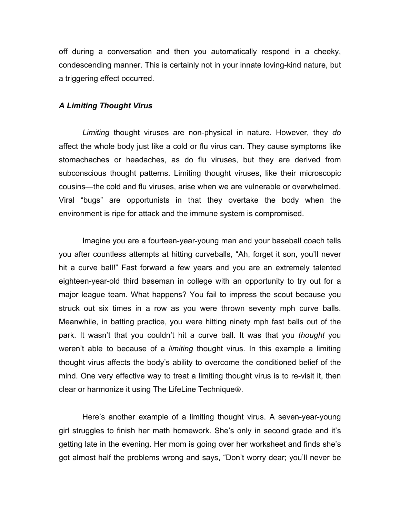off during a conversation and then you automatically respond in a cheeky, condescending manner. This is certainly not in your innate loving-kind nature, but a triggering effect occurred.

#### *A Limiting Thought Virus*

*Limiting* thought viruses are non-physical in nature. However, they *do* affect the whole body just like a cold or flu virus can. They cause symptoms like stomachaches or headaches, as do flu viruses, but they are derived from subconscious thought patterns. Limiting thought viruses, like their microscopic cousins—the cold and flu viruses, arise when we are vulnerable or overwhelmed. Viral "bugs" are opportunists in that they overtake the body when the environment is ripe for attack and the immune system is compromised.

Imagine you are a fourteen-year-young man and your baseball coach tells you after countless attempts at hitting curveballs, "Ah, forget it son, you'll never hit a curve ball!" Fast forward a few years and you are an extremely talented eighteen-year-old third baseman in college with an opportunity to try out for a major league team. What happens? You fail to impress the scout because you struck out six times in a row as you were thrown seventy mph curve balls. Meanwhile, in batting practice, you were hitting ninety mph fast balls out of the park. It wasn't that you couldn't hit a curve ball. It was that you *thought* you weren't able to because of a *limiting* thought virus. In this example a limiting thought virus affects the body's ability to overcome the conditioned belief of the mind. One very effective way to treat a limiting thought virus is to re-visit it, then clear or harmonize it using The LifeLine Technique<sup>®</sup>.

Here's another example of a limiting thought virus. A seven-year-young girl struggles to finish her math homework. She's only in second grade and it's getting late in the evening. Her mom is going over her worksheet and finds she's got almost half the problems wrong and says, "Don't worry dear; you'll never be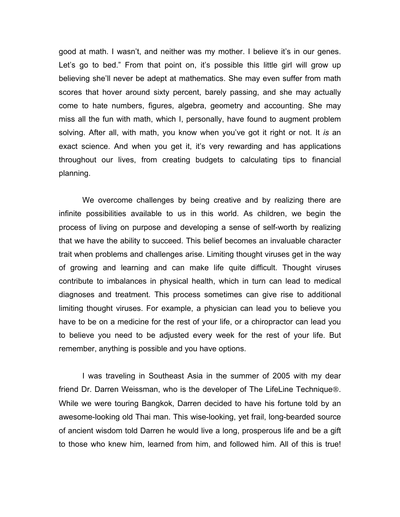good at math. I wasn't, and neither was my mother. I believe it's in our genes. Let's go to bed." From that point on, it's possible this little girl will grow up believing she'll never be adept at mathematics. She may even suffer from math scores that hover around sixty percent, barely passing, and she may actually come to hate numbers, figures, algebra, geometry and accounting. She may miss all the fun with math, which I, personally, have found to augment problem solving. After all, with math, you know when you've got it right or not. It *is* an exact science. And when you get it, it's very rewarding and has applications throughout our lives, from creating budgets to calculating tips to financial planning.

We overcome challenges by being creative and by realizing there are infinite possibilities available to us in this world. As children, we begin the process of living on purpose and developing a sense of self-worth by realizing that we have the ability to succeed. This belief becomes an invaluable character trait when problems and challenges arise. Limiting thought viruses get in the way of growing and learning and can make life quite difficult. Thought viruses contribute to imbalances in physical health, which in turn can lead to medical diagnoses and treatment. This process sometimes can give rise to additional limiting thought viruses. For example, a physician can lead you to believe you have to be on a medicine for the rest of your life, or a chiropractor can lead you to believe you need to be adjusted every week for the rest of your life. But remember, anything is possible and you have options.

I was traveling in Southeast Asia in the summer of 2005 with my dear friend Dr. Darren Weissman, who is the developer of The LifeLine Technique<sup>®</sup>. While we were touring Bangkok, Darren decided to have his fortune told by an awesome-looking old Thai man. This wise-looking, yet frail, long-bearded source of ancient wisdom told Darren he would live a long, prosperous life and be a gift to those who knew him, learned from him, and followed him. All of this is true!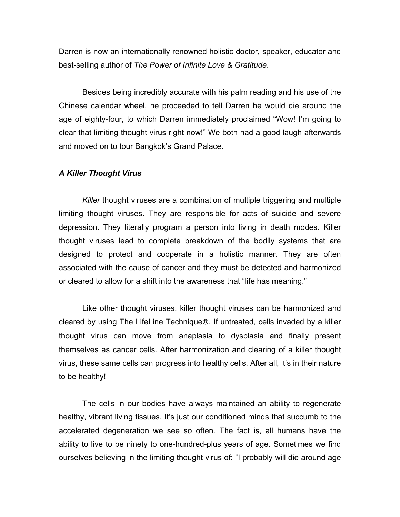Darren is now an internationally renowned holistic doctor, speaker, educator and best-selling author of *The Power of Infinite Love & Gratitude*.

Besides being incredibly accurate with his palm reading and his use of the Chinese calendar wheel, he proceeded to tell Darren he would die around the age of eighty-four, to which Darren immediately proclaimed "Wow! I'm going to clear that limiting thought virus right now!" We both had a good laugh afterwards and moved on to tour Bangkok's Grand Palace.

### *A Killer Thought Virus*

*Killer* thought viruses are a combination of multiple triggering and multiple limiting thought viruses. They are responsible for acts of suicide and severe depression. They literally program a person into living in death modes. Killer thought viruses lead to complete breakdown of the bodily systems that are designed to protect and cooperate in a holistic manner. They are often associated with the cause of cancer and they must be detected and harmonized or cleared to allow for a shift into the awareness that "life has meaning."

Like other thought viruses, killer thought viruses can be harmonized and cleared by using The LifeLine Technique<sup>®</sup>. If untreated, cells invaded by a killer thought virus can move from anaplasia to dysplasia and finally present themselves as cancer cells. After harmonization and clearing of a killer thought virus, these same cells can progress into healthy cells. After all, it's in their nature to be healthy!

The cells in our bodies have always maintained an ability to regenerate healthy, vibrant living tissues. It's just our conditioned minds that succumb to the accelerated degeneration we see so often. The fact is, all humans have the ability to live to be ninety to one-hundred-plus years of age. Sometimes we find ourselves believing in the limiting thought virus of: "I probably will die around age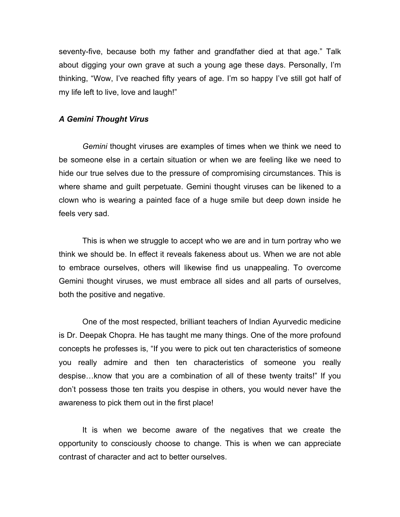seventy-five, because both my father and grandfather died at that age." Talk about digging your own grave at such a young age these days. Personally, I'm thinking, "Wow, I've reached fifty years of age. I'm so happy I've still got half of my life left to live, love and laugh!"

#### *A Gemini Thought Virus*

*Gemini* thought viruses are examples of times when we think we need to be someone else in a certain situation or when we are feeling like we need to hide our true selves due to the pressure of compromising circumstances. This is where shame and guilt perpetuate. Gemini thought viruses can be likened to a clown who is wearing a painted face of a huge smile but deep down inside he feels very sad.

This is when we struggle to accept who we are and in turn portray who we think we should be. In effect it reveals fakeness about us. When we are not able to embrace ourselves, others will likewise find us unappealing. To overcome Gemini thought viruses, we must embrace all sides and all parts of ourselves, both the positive and negative.

One of the most respected, brilliant teachers of Indian Ayurvedic medicine is Dr. Deepak Chopra. He has taught me many things. One of the more profound concepts he professes is, "If you were to pick out ten characteristics of someone you really admire and then ten characteristics of someone you really despise…know that you are a combination of all of these twenty traits!" If you don't possess those ten traits you despise in others, you would never have the awareness to pick them out in the first place!

It is when we become aware of the negatives that we create the opportunity to consciously choose to change. This is when we can appreciate contrast of character and act to better ourselves.